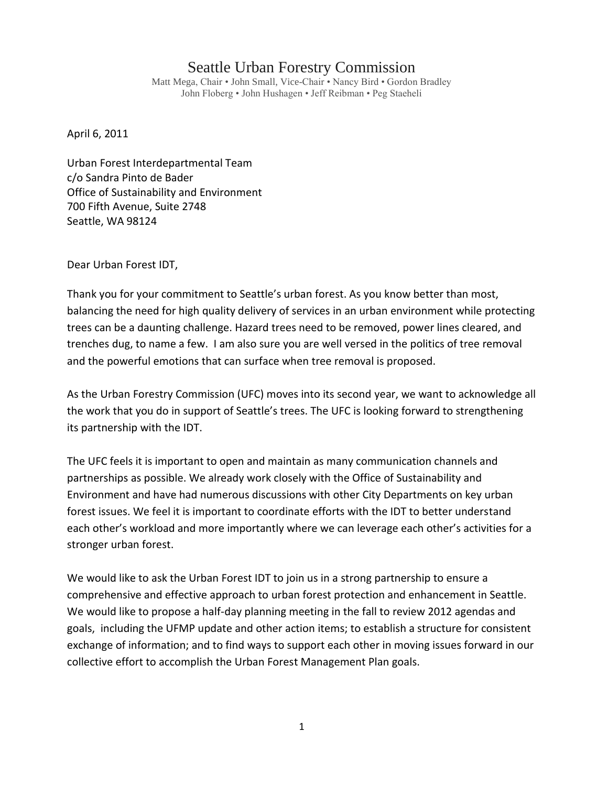## Seattle Urban Forestry Commission

Matt Mega, Chair • John Small, Vice-Chair • Nancy Bird • Gordon Bradley John Floberg • John Hushagen • Jeff Reibman • Peg Staeheli

April 6, 2011

Urban Forest Interdepartmental Team c/o Sandra Pinto de Bader Office of Sustainability and Environment 700 Fifth Avenue, Suite 2748 Seattle, WA 98124

Dear Urban Forest IDT,

Thank you for your commitment to Seattle's urban forest. As you know better than most, balancing the need for high quality delivery of services in an urban environment while protecting trees can be a daunting challenge. Hazard trees need to be removed, power lines cleared, and trenches dug, to name a few. I am also sure you are well versed in the politics of tree removal and the powerful emotions that can surface when tree removal is proposed.

As the Urban Forestry Commission (UFC) moves into its second year, we want to acknowledge all the work that you do in support of Seattle's trees. The UFC is looking forward to strengthening its partnership with the IDT.

The UFC feels it is important to open and maintain as many communication channels and partnerships as possible. We already work closely with the Office of Sustainability and Environment and have had numerous discussions with other City Departments on key urban forest issues. We feel it is important to coordinate efforts with the IDT to better understand each other's workload and more importantly where we can leverage each other's activities for a stronger urban forest.

We would like to ask the Urban Forest IDT to join us in a strong partnership to ensure a comprehensive and effective approach to urban forest protection and enhancement in Seattle. We would like to propose a half-day planning meeting in the fall to review 2012 agendas and goals, including the UFMP update and other action items; to establish a structure for consistent exchange of information; and to find ways to support each other in moving issues forward in our collective effort to accomplish the Urban Forest Management Plan goals.